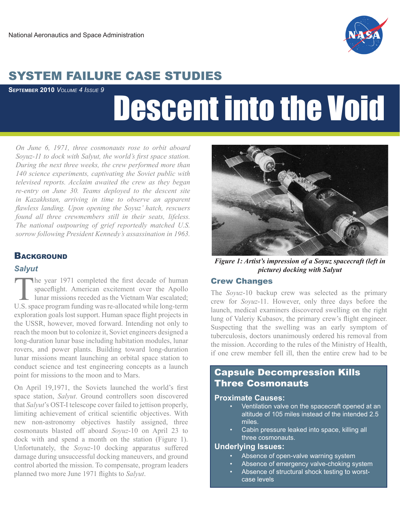

## SYSTEM FAILURE CASE STUDIES

**September 2010** *Volume 4 Issue 9*

# Descent into the Void

*On June 6, 1971, three cosmonauts rose to orbit aboard Soyuz-11 to dock with Salyut, the world's first space station. During the next three weeks, the crew performed more than 140 science experiments, captivating the Soviet public with televised reports. Acclaim awaited the crew as they began re-entry on June 30. Teams deployed to the descent site in Kazakhstan, arriving in time to observe an apparent flawless landing. Upon opening the Soyuz' hatch, rescuers found all three crewmembers still in their seats, lifeless. The national outpouring of grief reportedly matched U.S. sorrow following President Kennedy's assassination in 1963.* 

#### **BACKGROUND**

#### *Salyut*

The year 1971 completed the first decade of human spaceflight. American excitement over the Apollo lunar missions receded as the Vietnam War escalated; U.S. space program funding was re-allocated while long-term exploration goals lost support. Human space flight projects in the USSR, however, moved forward. Intending not only to reach the moon but to colonize it, Soviet engineers designed a long-duration lunar base including habitation modules, lunar rovers, and power plants. Building toward long-duration lunar missions meant launching an orbital space station to conduct science and test engineering concepts as a launch point for missions to the moon and to Mars.

On April 19,1971, the Soviets launched the world's first space station, *Salyut*. Ground controllers soon discovered that *Salyut*'s OST-I telescope cover failed to jettison properly, limiting achievement of critical scientific objectives. With new non-astronomy objectives hastily assigned, three cosmonauts blasted off aboard *Soyuz*-10 on April 23 to dock with and spend a month on the station (Figure 1). Unfortunately, the *Soyuz*-10 docking apparatus suffered damage during unsuccessful docking maneuvers, and ground control aborted the mission. To compensate, program leaders planned two more June 1971 flights to *Salyut*.



*Figure 1: Artist's impression of a Soyuz spacecraft (left in picture) docking with Salyut*

#### Crew Changes

The *Soyuz*-10 backup crew was selected as the primary crew for *Soyuz*-11. However, only three days before the launch, medical examiners discovered swelling on the right lung of Valeriy Kubasov, the primary crew's flight engineer. Suspecting that the swelling was an early symptom of tuberculosis, doctors unanimously ordered his removal from the mission. According to the rules of the Ministry of Health, if one crew member fell ill, then the entire crew had to be

#### Three Cosmonauts Capsule Decompression Kills

#### **Proximate Causes:**

- **Proximate Causes:** altitude of 105 miles instead of the intended 2.5 • Ventilation valve on the spacecraft opened at an miles.
	- Cabin pressure leaked into space, killing all **• Cause 2** three cosmonauts.

#### **Underlying Issues: Underlying Issues:**

- Absence of open-valve warning system
- Absence of emergency valve-choking system
- Absence of structural shock testing to worst-**Example 3** case levels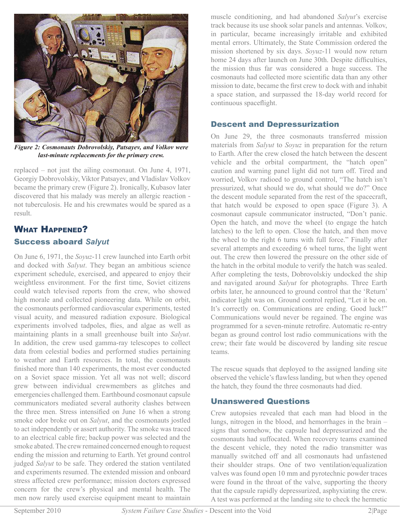

*Figure 2: Cosmonauts Dobrovolskiy, Patsayev, and Volkov were last-minute replacements for the primary crew.*

replaced – not just the ailing cosmonaut. On June 4, 1971, Georgiy Dobrovolskiy, Viktor Patsayev, and Vladislav Volkov became the primary crew (Figure 2). Ironically, Kubasov later discovered that his malady was merely an allergic reaction not tuberculosis. He and his crewmates would be spared as a result.

#### What Happened? Success aboard *Salyut*

On June 6, 1971, the *Soyuz*-11 crew launched into Earth orbit and docked with *Salyut*. They began an ambitious science experiment schedule, exercised, and appeared to enjoy their weightless environment. For the first time, Soviet citizens could watch televised reports from the crew, who showed high morale and collected pioneering data. While on orbit, the cosmonauts performed cardiovascular experiments, tested visual acuity, and measured radiation exposure. Biological experiments involved tadpoles, flies, and algae as well as maintaining plants in a small greenhouse built into *Salyut*. In addition, the crew used gamma-ray telescopes to collect data from celestial bodies and performed studies pertaining to weather and Earth resources. In total, the cosmonauts finished more than 140 experiments, the most ever conducted on a Soviet space mission. Yet all was not well; discord grew between individual crewmembers as glitches and emergencies challenged them. Earthbound cosmonaut capsule communicators mediated several authority clashes between the three men. Stress intensified on June 16 when a strong smoke odor broke out on *Salyut*, and the cosmonauts jostled to act independently or assert authority. The smoke was traced to an electrical cable fire; backup power was selected and the smoke abated. The crew remained concerned enough to request ending the mission and returning to Earth. Yet ground control judged *Salyut* to be safe. They ordered the station ventilated and experiments resumed. The extended mission and onboard stress affected crew performance; mission doctors expressed concern for the crew's physical and mental health. The men now rarely used exercise equipment meant to maintain

muscle conditioning, and had abandoned *Salyut*'s exercise track because its use shook solar panels and antennas. Volkov, in particular, became increasingly irritable and exhibited mental errors. Ultimately, the State Commission ordered the mission shortened by six days. *Soyuz*-11 would now return home 24 days after launch on June 30th. Despite difficulties, the mission thus far was considered a huge success. The cosmonauts had collected more scientific data than any other mission to date, became the first crew to dock with and inhabit a space station, and surpassed the 18-day world record for continuous spaceflight.

#### Descent and Depressurization

On June 29, the three cosmonauts transferred mission materials from *Salyut* to *Soyuz* in preparation for the return to Earth. After the crew closed the hatch between the descent vehicle and the orbital compartment, the "hatch open" caution and warning panel light did not turn off. Tired and worried, Volkov radioed to ground control, "The hatch isn't pressurized, what should we do, what should we do?" Once the descent module separated from the rest of the spacecraft, that hatch would be exposed to open space (Figure 3). A cosmonaut capsule communicator instructed, "Don't panic. Open the hatch, and move the wheel (to engage the hatch latches) to the left to open. Close the hatch, and then move the wheel to the right 6 turns with full force." Finally after several attempts and exceeding 6 wheel turns, the light went out. The crew then lowered the pressure on the other side of the hatch in the orbital module to verify the hatch was sealed. After completing the tests, Dobrovolskiy undocked the ship and navigated around *Salyut* for photographs. Three Earth orbits later, he announced to ground control that the 'Return' indicator light was on. Ground control replied, "Let it be on. It's correctly on. Communications are ending. Good luck!" Communications would never be regained. The engine was programmed for a seven-minute retrofire. Automatic re-entry began as ground control lost radio communications with the crew; their fate would be discovered by landing site rescue teams.

The rescue squads that deployed to the assigned landing site observed the vehicle's flawless landing, but when they opened the hatch, they found the three cosmonauts had died.

#### Unanswered Questions

Crew autopsies revealed that each man had blood in the lungs, nitrogen in the blood, and hemorrhages in the brain – signs that somehow, the capsule had depressurized and the cosmonauts had suffocated. When recovery teams examined the descent vehicle, they noted the radio transmitter was manually switched off and all cosmonauts had unfastened their shoulder straps. One of two ventilation/equalization valves was found open 10 mm and pyrotechnic powder traces were found in the throat of the valve, supporting the theory that the capsule rapidly depressurized, asphyxiating the crew. A test was performed at the landing site to check the hermetic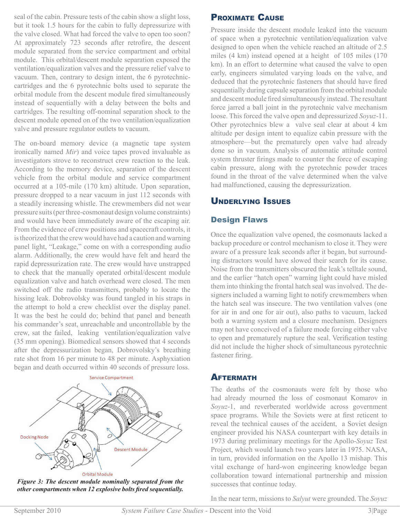seal of the cabin. Pressure tests of the cabin show a slight loss, but it took 1.5 hours for the cabin to fully depressurize with the valve closed. What had forced the valve to open too soon? At approximately 723 seconds after retrofire, the descent module separated from the service compartment and orbital module. This orbital/descent module separation exposed the ventilation/equalization valves and the pressure relief valve to vacuum. Then, contrary to design intent, the 6 pyrotechniccartridges and the 6 pyrotechnic bolts used to separate the orbital module from the descent module fired simultaneously instead of sequentially with a delay between the bolts and cartridges. The resulting off-nominal separation shock to the descent module opened on of the two ventilation/equalization valve and pressure regulator outlets to vacuum.

The on-board memory device (a magnetic tape system ironically named *Mir*) and voice tapes proved invaluable as investigators strove to reconstruct crew reaction to the leak. According to the memory device, separation of the descent vehicle from the orbital module and service compartment occurred at a 105-mile (170 km) altitude. Upon separation, pressure dropped to a near vacuum in just 112 seconds with a steadily increasing whistle. The crewmembers did not wear pressure suits (per three-cosmonaut design volume constraints) and would have been immediately aware of the escaping air. From the evidence of crew positions and spacecraft controls, it is theorized that the crew would have had a caution and warning panel light, "Leakage," come on with a corresponding audio alarm. Additionally, the crew would have felt and heard the rapid depressurization rate. The crew would have unstrapped to check that the manually operated orbital/descent module equalization valve and hatch overhead were closed. The men switched off the radio transmitters, probably to locate the hissing leak. Dobrovolsky was found tangled in his straps in the attempt to hold a crew checklist over the display panel. It was the best he could do; behind that panel and beneath his commander's seat, unreachable and uncontrollable by the crew, sat the failed, leaking ventilation/equalization valve (35 mm opening). Biomedical sensors showed that 4 seconds after the depressurization began, Dobrovolsky's breathing rate shot from 16 per minute to 48 per minute. Asphyxiation began and death occurred within 40 seconds of pressure loss.



*Figure 3: The descent module nominally separated from the other compartments when 12 explosive bolts fired sequentially.*

#### Proximate Cause

Pressure inside the descent module leaked into the vacuum of space when a pyrotechnic ventilation/equalization valve designed to open when the vehicle reached an altitude of 2.5 miles (4 km) instead opened at a height of 105 miles (170 km). In an effort to determine what caused the valve to open early, engineers simulated varying loads on the valve, and deduced that the pyrotechnic fasteners that should have fired sequentially during capsule separation from the orbital module and descent module fired simultaneously instead. The resultant force jarred a ball joint in the pyrotechnic valve mechanism loose. This forced the valve open and depressurized *Soyuz*-11. Other pyrotechnics blew a valve seal clear at about 4 km altitude per design intent to equalize cabin pressure with the atmosphere—but the prematurely open valve had already done so in vacuum. Analysis of automatic attitude control system thruster firings made to counter the force of escaping cabin pressure, along with the pyrotechnic powder traces found in the throat of the valve determined when the valve had malfunctioned, causing the depressurization.

#### Underlying Issues

#### Design Flaws

Once the equalization valve opened, the cosmonauts lacked a backup procedure or control mechanism to close it. They were aware of a pressure leak seconds after it began, but surrounding distractors would have slowed their search for its cause. Noise from the transmitters obscured the leak's telltale sound, and the earlier "hatch open" warning light could have misled them into thinking the frontal hatch seal was involved. The designers included a warning light to notify crewmembers when the hatch seal was insecure. The two ventilation valves (one for air in and one for air out), also paths to vacuum, lacked both a warning system and a closure mechanism. Designers may not have conceived of a failure mode forcing either valve to open and prematurely rupture the seal. Verification testing did not include the higher shock of simultaneous pyrotechnic fastener firing.

#### **AFTERMATH**

The deaths of the cosmonauts were felt by those who had already mourned the loss of cosmonaut Komarov in *Soyuz*-1, and reverberated worldwide across government space programs. While the Soviets were at first reticent to reveal the technical causes of the accident, a Soviet design engineer provided his NASA counterpart with key details in 1973 during preliminary meetings for the Apollo-*Soyuz* Test Project, which would launch two years later in 1975. NASA, in turn, provided information on the Apollo 13 mishap. This vital exchange of hard-won engineering knowledge began collaboration toward international partnership and mission successes that continue today.

In the near term, missions to *Salyut* were grounded. The *Soyuz*